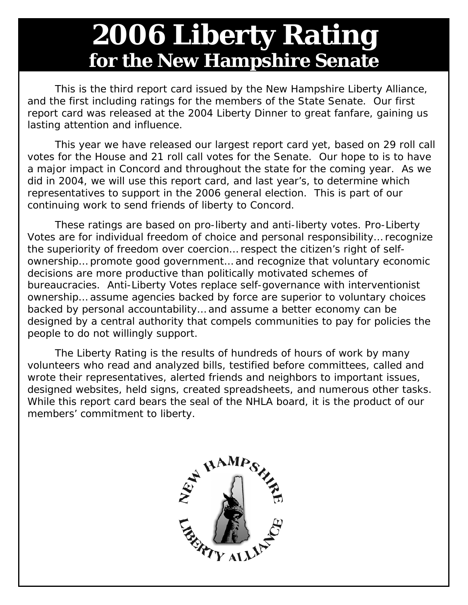## **2006 Liberty Rating for the New Hampshire Senate**

 This is the third report card issued by the *New Hampshire Liberty Alliance*, and the first including ratings for the members of the State Senate. Our first report card was released at the 2004 Liberty Dinner to great fanfare, gaining us lasting attention and influence.

 This year we have released our largest report card yet, based on 29 roll call votes for the House and 21 roll call votes for the Senate. Our hope to is to have a major impact in Concord and throughout the state for the coming year. As we did in 2004, we will use this report card, and last year's, to determine which representatives to support in the 2006 general election. This is part of our continuing work to send friends of liberty to Concord.

 These ratings are based on pro-liberty and anti-liberty votes. *Pro-Liberty Votes* are for individual freedom of choice and personal responsibility… recognize the superiority of freedom over coercion… respect the citizen's right of selfownership… promote good government… and recognize that voluntary economic decisions are more productive than politically motivated schemes of bureaucracies. *Anti-Liberty Votes* replace self-governance with interventionist ownership… assume agencies backed by force are superior to voluntary choices backed by personal accountability… and assume a better economy can be designed by a central authority that compels communities to pay for policies the people to do not willingly support.

 The *Liberty Rating* is the results of hundreds of hours of work by many volunteers who read and analyzed bills, testified before committees, called and wrote their representatives, alerted friends and neighbors to important issues, designed websites, held signs, created spreadsheets, and numerous other tasks. While this report card bears the seal of the NHLA board, it is the product of our members' commitment to liberty.

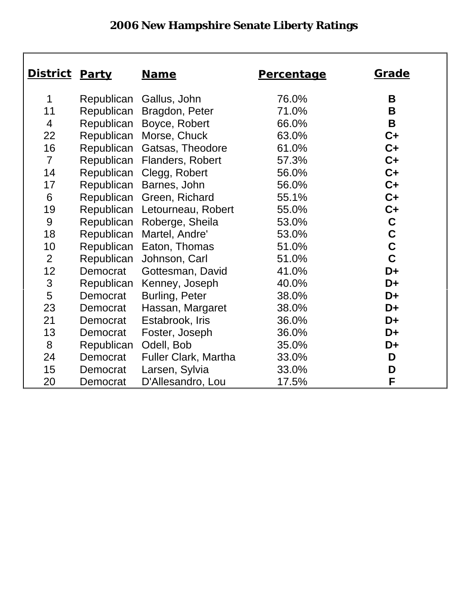## **2006 New Hampshire Senate Liberty Ratings**

| <u>District</u> | <b>Party</b> | <b>Name</b><br><b>Percentage</b> |       | <u>Grade</u> |
|-----------------|--------------|----------------------------------|-------|--------------|
|                 |              |                                  |       |              |
| 1               | Republican   | Gallus, John                     | 76.0% | B            |
| 11              | Republican   | Bragdon, Peter                   | 71.0% | B            |
| $\overline{4}$  | Republican   | Boyce, Robert                    | 66.0% | B            |
| 22              |              | Republican Morse, Chuck          | 63.0% | $C+$         |
| 16              |              | Republican Gatsas, Theodore      | 61.0% | $C+$         |
| $\overline{7}$  | Republican   | Flanders, Robert                 | 57.3% | $C+$         |
| 14              |              | Republican Clegg, Robert         | 56.0% | $C+$         |
| 17              | Republican   | Barnes, John                     | 56.0% | $C+$         |
| 6               | Republican   | Green, Richard                   | 55.1% | $C+$         |
| 19              | Republican   | Letourneau, Robert               | 55.0% | $C+$         |
| 9               | Republican   | Roberge, Sheila                  | 53.0% | $\mathbf C$  |
| 18              | Republican   | Martel, Andre'                   | 53.0% | $\mathbf C$  |
| 10              | Republican   | Eaton, Thomas                    | 51.0% | $\mathbf C$  |
| 2               | Republican   | Johnson, Carl                    | 51.0% | $\mathbf C$  |
| 12              | Democrat     | Gottesman, David                 | 41.0% | D+           |
| $\mathfrak{S}$  | Republican   | Kenney, Joseph                   | 40.0% | $D+$         |
| 5               | Democrat     | Burling, Peter                   | 38.0% | D+           |
| 23              | Democrat     | Hassan, Margaret                 | 38.0% | D+           |
| 21              | Democrat     | Estabrook, Iris                  | 36.0% | D+           |
| 13              | Democrat     | Foster, Joseph                   | 36.0% | D+           |
| 8               | Republican   | Odell, Bob                       | 35.0% | D+           |
| 24              | Democrat     | Fuller Clark, Martha             | 33.0% | D            |
| 15              | Democrat     | Larsen, Sylvia                   | 33.0% | D            |
| 20              | Democrat     | D'Allesandro, Lou                | 17.5% | F            |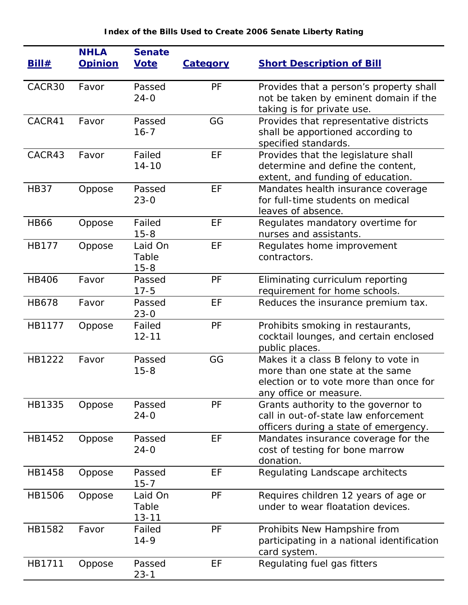| <b>Bill#</b> | <b>NHLA</b><br><b>Opinion</b> | <b>Senate</b><br><b>Vote</b>  | <b>Category</b> | <b>Short Description of Bill</b>                                                                                                            |
|--------------|-------------------------------|-------------------------------|-----------------|---------------------------------------------------------------------------------------------------------------------------------------------|
| CACR30       | Favor                         | Passed<br>$24 - 0$            | PF              | Provides that a person's property shall<br>not be taken by eminent domain if the<br>taking is for private use.                              |
| CACR41       | Favor                         | Passed<br>$16 - 7$            | GG              | Provides that representative districts<br>shall be apportioned according to<br>specified standards.                                         |
| CACR43       | Favor                         | Failed<br>$14 - 10$           | EF              | Provides that the legislature shall<br>determine and define the content,<br>extent, and funding of education.                               |
| <b>HB37</b>  | Oppose                        | Passed<br>$23 - 0$            | EF              | Mandates health insurance coverage<br>for full-time students on medical<br>leaves of absence.                                               |
| <b>HB66</b>  | Oppose                        | Failed<br>$15 - 8$            | EF              | Regulates mandatory overtime for<br>nurses and assistants.                                                                                  |
| <b>HB177</b> | Oppose                        | Laid On<br>Table<br>$15 - 8$  | EF              | Regulates home improvement<br>contractors.                                                                                                  |
| <b>HB406</b> | Favor                         | Passed<br>$17 - 5$            | PF              | Eliminating curriculum reporting<br>requirement for home schools.                                                                           |
| <b>HB678</b> | Favor                         | Passed<br>$23 - 0$            | EF              | Reduces the insurance premium tax.                                                                                                          |
| HB1177       | Oppose                        | Failed<br>$12 - 11$           | PF              | Prohibits smoking in restaurants,<br>cocktail lounges, and certain enclosed<br>public places.                                               |
| HB1222       | Favor                         | Passed<br>$15 - 8$            | GG              | Makes it a class B felony to vote in<br>more than one state at the same<br>election or to vote more than once for<br>any office or measure. |
| HB1335       | Oppose                        | Passed<br>$24 - 0$            | PF              | Grants authority to the governor to<br>call in out-of-state law enforcement<br>officers during a state of emergency.                        |
| HB1452       | Oppose                        | Passed<br>$24 - 0$            | EF              | Mandates insurance coverage for the<br>cost of testing for bone marrow<br>donation.                                                         |
| HB1458       | Oppose                        | Passed<br>$15 - 7$            | EF              | Regulating Landscape architects                                                                                                             |
| HB1506       | Oppose                        | Laid On<br>Table<br>$13 - 11$ | PF              | Requires children 12 years of age or<br>under to wear floatation devices.                                                                   |
| HB1582       | Favor                         | Failed<br>$14 - 9$            | PF              | Prohibits New Hampshire from<br>participating in a national identification<br>card system.                                                  |
| HB1711       | Oppose                        | Passed<br>$23 - 1$            | EF              | Regulating fuel gas fitters                                                                                                                 |